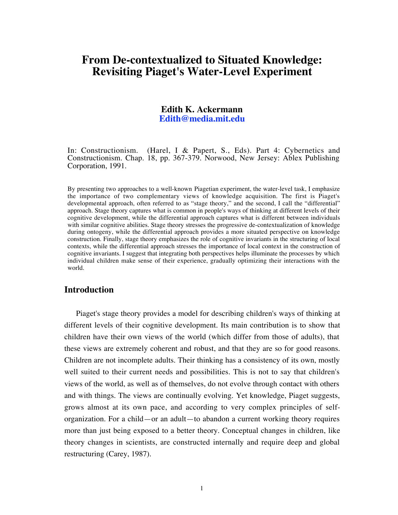# **From De-contextualized to Situated Knowledge: Revisiting Piaget's Water-Level Experiment**

#### **Edith K. Ackermann Edith@media.mit.edu**

In: Constructionism. (Harel, I & Papert, S., Eds). Part 4: Cybernetics and Constructionism. Chap. 18, pp. 367-379. Norwood, New Jersey: Ablex Publishing Corporation, 1991.

By presenting two approaches to a well-known Piagetian experiment, the water-level task, I emphasize the importance of two complementary views of knowledge acquisition. The first is Piaget's developmental approach, often referred to as "stage theory," and the second, I call the "differential" approach. Stage theory captures what is common in people's ways of thinking at different levels of their cognitive development, while the differential approach captures what is different between individuals with similar cognitive abilities. Stage theory stresses the progressive de-contextualization of knowledge during ontogeny, while the differential approach provides a more situated perspective on knowledge construction. Finally, stage theory emphasizes the role of cognitive invariants in the structuring of local contexts, while the differential approach stresses the importance of local context in the construction of cognitive invariants. I suggest that integrating both perspectives helps illuminate the processes by which individual children make sense of their experience, gradually optimizing their interactions with the world.

#### **Introduction**

Piaget's stage theory provides a model for describing children's ways of thinking at different levels of their cognitive development. Its main contribution is to show that children have their own views of the world (which differ from those of adults), that these views are extremely coherent and robust, and that they are so for good reasons. Children are not incomplete adults. Their thinking has a consistency of its own, mostly well suited to their current needs and possibilities. This is not to say that children's views of the world, as well as of themselves, do not evolve through contact with others and with things. The views are continually evolving. Yet knowledge, Piaget suggests, grows almost at its own pace, and according to very complex principles of selforganization. For a child—or an adult—to abandon a current working theory requires more than just being exposed to a better theory. Conceptual changes in children, like theory changes in scientists, are constructed internally and require deep and global restructuring (Carey, 1987).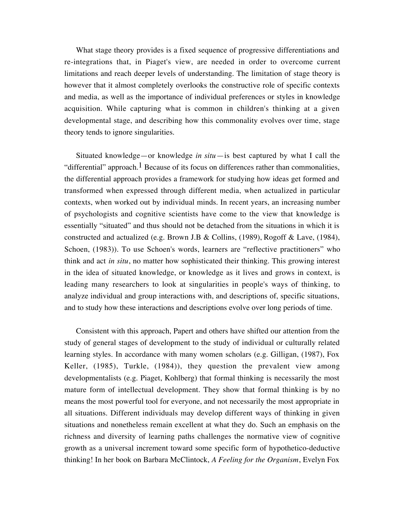What stage theory provides is a fixed sequence of progressive differentiations and re-integrations that, in Piaget's view, are needed in order to overcome current limitations and reach deeper levels of understanding. The limitation of stage theory is however that it almost completely overlooks the constructive role of specific contexts and media, as well as the importance of individual preferences or styles in knowledge acquisition. While capturing what is common in children's thinking at a given developmental stage, and describing how this commonality evolves over time, stage theory tends to ignore singularities.

Situated knowledge—or knowledge *in situ*—is best captured by what I call the "differential" approach.<sup>1</sup> Because of its focus on differences rather than commonalities, the differential approach provides a framework for studying how ideas get formed and transformed when expressed through different media, when actualized in particular contexts, when worked out by individual minds. In recent years, an increasing number of psychologists and cognitive scientists have come to the view that knowledge is essentially "situated" and thus should not be detached from the situations in which it is constructed and actualized (e.g. Brown J.B & Collins, (1989), Rogoff & Lave, (1984), Schoen, (1983)). To use Schoen's words, learners are "reflective practitioners" who think and act *in situ*, no matter how sophisticated their thinking. This growing interest in the idea of situated knowledge, or knowledge as it lives and grows in context, is leading many researchers to look at singularities in people's ways of thinking, to analyze individual and group interactions with, and descriptions of, specific situations, and to study how these interactions and descriptions evolve over long periods of time.

Consistent with this approach, Papert and others have shifted our attention from the study of general stages of development to the study of individual or culturally related learning styles. In accordance with many women scholars (e.g. Gilligan, (1987), Fox Keller, (1985), Turkle, (1984)), they question the prevalent view among developmentalists (e.g. Piaget, Kohlberg) that formal thinking is necessarily the most mature form of intellectual development. They show that formal thinking is by no means the most powerful tool for everyone, and not necessarily the most appropriate in all situations. Different individuals may develop different ways of thinking in given situations and nonetheless remain excellent at what they do. Such an emphasis on the richness and diversity of learning paths challenges the normative view of cognitive growth as a universal increment toward some specific form of hypothetico-deductive thinking! In her book on Barbara McClintock, *A Feeling for the Organism*, Evelyn Fox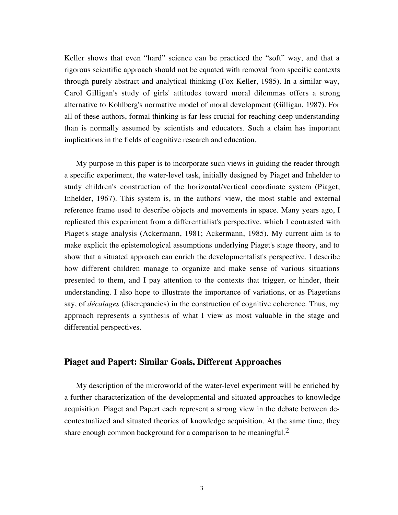Keller shows that even "hard" science can be practiced the "soft" way, and that a rigorous scientific approach should not be equated with removal from specific contexts through purely abstract and analytical thinking (Fox Keller, 1985). In a similar way, Carol Gilligan's study of girls' attitudes toward moral dilemmas offers a strong alternative to Kohlberg's normative model of moral development (Gilligan, 1987). For all of these authors, formal thinking is far less crucial for reaching deep understanding than is normally assumed by scientists and educators. Such a claim has important implications in the fields of cognitive research and education.

My purpose in this paper is to incorporate such views in guiding the reader through a specific experiment, the water-level task, initially designed by Piaget and Inhelder to study children's construction of the horizontal/vertical coordinate system (Piaget, Inhelder, 1967). This system is, in the authors' view, the most stable and external reference frame used to describe objects and movements in space. Many years ago, I replicated this experiment from a differentialist's perspective, which I contrasted with Piaget's stage analysis (Ackermann, 1981; Ackermann, 1985). My current aim is to make explicit the epistemological assumptions underlying Piaget's stage theory, and to show that a situated approach can enrich the developmentalist's perspective. I describe how different children manage to organize and make sense of various situations presented to them, and I pay attention to the contexts that trigger, or hinder, their understanding. I also hope to illustrate the importance of variations, or as Piagetians say, of *décalages* (discrepancies) in the construction of cognitive coherence. Thus, my approach represents a synthesis of what I view as most valuable in the stage and differential perspectives.

#### **Piaget and Papert: Similar Goals, Different Approaches**

My description of the microworld of the water-level experiment will be enriched by a further characterization of the developmental and situated approaches to knowledge acquisition. Piaget and Papert each represent a strong view in the debate between decontextualized and situated theories of knowledge acquisition. At the same time, they share enough common background for a comparison to be meaningful.<sup>2</sup>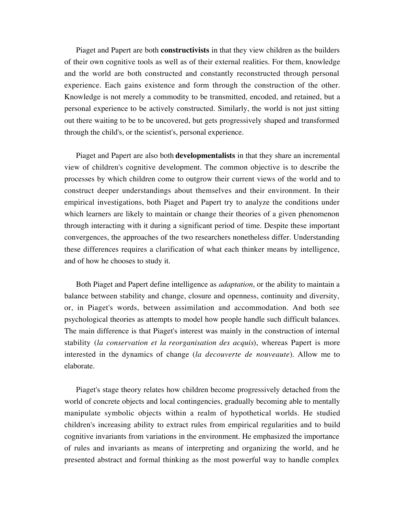Piaget and Papert are both **constructivists** in that they view children as the builders of their own cognitive tools as well as of their external realities. For them, knowledge and the world are both constructed and constantly reconstructed through personal experience. Each gains existence and form through the construction of the other. Knowledge is not merely a commodity to be transmitted, encoded, and retained, but a personal experience to be actively constructed. Similarly, the world is not just sitting out there waiting to be to be uncovered, but gets progressively shaped and transformed through the child's, or the scientist's, personal experience.

Piaget and Papert are also both **developmentalists** in that they share an incremental view of children's cognitive development. The common objective is to describe the processes by which children come to outgrow their current views of the world and to construct deeper understandings about themselves and their environment. In their empirical investigations, both Piaget and Papert try to analyze the conditions under which learners are likely to maintain or change their theories of a given phenomenon through interacting with it during a significant period of time. Despite these important convergences, the approaches of the two researchers nonetheless differ. Understanding these differences requires a clarification of what each thinker means by intelligence, and of how he chooses to study it.

Both Piaget and Papert define intelligence as *adaptation*, or the ability to maintain a balance between stability and change, closure and openness, continuity and diversity, or, in Piaget's words, between assimilation and accommodation. And both see psychological theories as attempts to model how people handle such difficult balances. The main difference is that Piaget's interest was mainly in the construction of internal stability (*la conservation et la reorganisation des acquis*), whereas Papert is more interested in the dynamics of change (*la decouverte de nouveaute*). Allow me to elaborate.

Piaget's stage theory relates how children become progressively detached from the world of concrete objects and local contingencies, gradually becoming able to mentally manipulate symbolic objects within a realm of hypothetical worlds. He studied children's increasing ability to extract rules from empirical regularities and to build cognitive invariants from variations in the environment. He emphasized the importance of rules and invariants as means of interpreting and organizing the world, and he presented abstract and formal thinking as the most powerful way to handle complex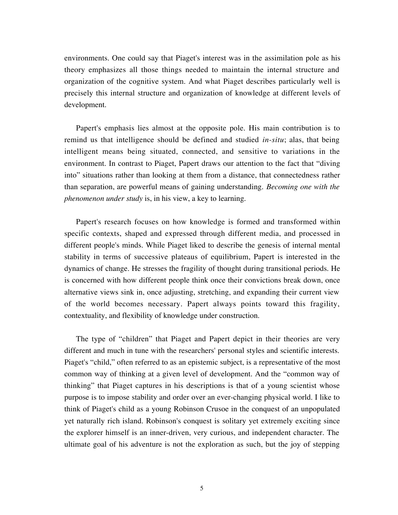environments. One could say that Piaget's interest was in the assimilation pole as his theory emphasizes all those things needed to maintain the internal structure and organization of the cognitive system. And what Piaget describes particularly well is precisely this internal structure and organization of knowledge at different levels of development.

Papert's emphasis lies almost at the opposite pole. His main contribution is to remind us that intelligence should be defined and studied *in-situ*; alas, that being intelligent means being situated, connected, and sensitive to variations in the environment. In contrast to Piaget, Papert draws our attention to the fact that "diving into" situations rather than looking at them from a distance, that connectedness rather than separation, are powerful means of gaining understanding. *Becoming one with the phenomenon under study* is, in his view, a key to learning.

Papert's research focuses on how knowledge is formed and transformed within specific contexts, shaped and expressed through different media, and processed in different people's minds. While Piaget liked to describe the genesis of internal mental stability in terms of successive plateaus of equilibrium, Papert is interested in the dynamics of change. He stresses the fragility of thought during transitional periods. He is concerned with how different people think once their convictions break down, once alternative views sink in, once adjusting, stretching, and expanding their current view of the world becomes necessary. Papert always points toward this fragility, contextuality, and flexibility of knowledge under construction.

The type of "children" that Piaget and Papert depict in their theories are very different and much in tune with the researchers' personal styles and scientific interests. Piaget's "child," often referred to as an epistemic subject, is a representative of the most common way of thinking at a given level of development. And the "common way of thinking" that Piaget captures in his descriptions is that of a young scientist whose purpose is to impose stability and order over an ever-changing physical world. I like to think of Piaget's child as a young Robinson Crusoe in the conquest of an unpopulated yet naturally rich island. Robinson's conquest is solitary yet extremely exciting since the explorer himself is an inner-driven, very curious, and independent character. The ultimate goal of his adventure is not the exploration as such, but the joy of stepping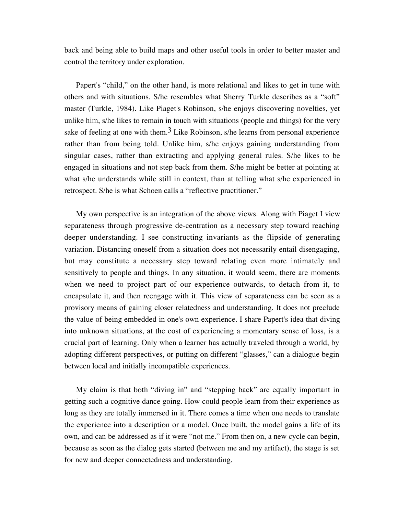back and being able to build maps and other useful tools in order to better master and control the territory under exploration.

Papert's "child," on the other hand, is more relational and likes to get in tune with others and with situations. S/he resembles what Sherry Turkle describes as a "soft" master (Turkle, 1984). Like Piaget's Robinson, s/he enjoys discovering novelties, yet unlike him, s/he likes to remain in touch with situations (people and things) for the very sake of feeling at one with them.<sup>3</sup> Like Robinson, s/he learns from personal experience rather than from being told. Unlike him, s/he enjoys gaining understanding from singular cases, rather than extracting and applying general rules. S/he likes to be engaged in situations and not step back from them. S/he might be better at pointing at what s/he understands while still in context, than at telling what s/he experienced in retrospect. S/he is what Schoen calls a "reflective practitioner."

My own perspective is an integration of the above views. Along with Piaget I view separateness through progressive de-centration as a necessary step toward reaching deeper understanding. I see constructing invariants as the flipside of generating variation. Distancing oneself from a situation does not necessarily entail disengaging, but may constitute a necessary step toward relating even more intimately and sensitively to people and things. In any situation, it would seem, there are moments when we need to project part of our experience outwards, to detach from it, to encapsulate it, and then reengage with it. This view of separateness can be seen as a provisory means of gaining closer relatedness and understanding. It does not preclude the value of being embedded in one's own experience. I share Papert's idea that diving into unknown situations, at the cost of experiencing a momentary sense of loss, is a crucial part of learning. Only when a learner has actually traveled through a world, by adopting different perspectives, or putting on different "glasses," can a dialogue begin between local and initially incompatible experiences.

My claim is that both "diving in" and "stepping back" are equally important in getting such a cognitive dance going. How could people learn from their experience as long as they are totally immersed in it. There comes a time when one needs to translate the experience into a description or a model. Once built, the model gains a life of its own, and can be addressed as if it were "not me." From then on, a new cycle can begin, because as soon as the dialog gets started (between me and my artifact), the stage is set for new and deeper connectedness and understanding.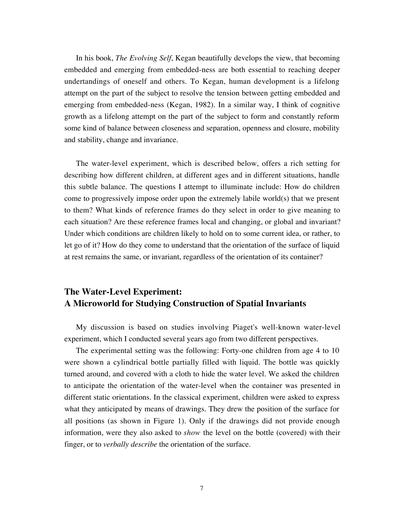In his book, *The Evolving Self*, Kegan beautifully develops the view, that becoming embedded and emerging from embedded-ness are both essential to reaching deeper undertandings of oneself and others. To Kegan, human development is a lifelong attempt on the part of the subject to resolve the tension between getting embedded and emerging from embedded-ness (Kegan, 1982). In a similar way, I think of cognitive growth as a lifelong attempt on the part of the subject to form and constantly reform some kind of balance between closeness and separation, openness and closure, mobility and stability, change and invariance.

The water-level experiment, which is described below, offers a rich setting for describing how different children, at different ages and in different situations, handle this subtle balance. The questions I attempt to illuminate include: How do children come to progressively impose order upon the extremely labile world(s) that we present to them? What kinds of reference frames do they select in order to give meaning to each situation? Are these reference frames local and changing, or global and invariant? Under which conditions are children likely to hold on to some current idea, or rather, to let go of it? How do they come to understand that the orientation of the surface of liquid at rest remains the same, or invariant, regardless of the orientation of its container?

## **The Water-Level Experiment: A Microworld for Studying Construction of Spatial Invariants**

My discussion is based on studies involving Piaget's well-known water-level experiment, which I conducted several years ago from two different perspectives.

The experimental setting was the following: Forty-one children from age 4 to 10 were shown a cylindrical bottle partially filled with liquid. The bottle was quickly turned around, and covered with a cloth to hide the water level. We asked the children to anticipate the orientation of the water-level when the container was presented in different static orientations. In the classical experiment, children were asked to express what they anticipated by means of drawings. They drew the position of the surface for all positions (as shown in Figure 1). Only if the drawings did not provide enough information, were they also asked to *show* the level on the bottle (covered) with their finger, or to *verbally describe* the orientation of the surface.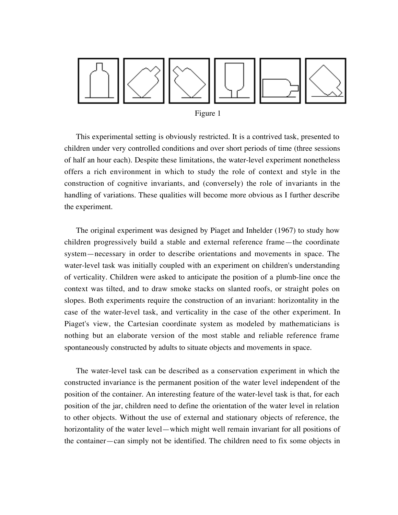

| $\sigma$ life |  |
|---------------|--|
|               |  |

This experimental setting is obviously restricted. It is a contrived task, presented to children under very controlled conditions and over short periods of time (three sessions of half an hour each). Despite these limitations, the water-level experiment nonetheless offers a rich environment in which to study the role of context and style in the construction of cognitive invariants, and (conversely) the role of invariants in the handling of variations. These qualities will become more obvious as I further describe the experiment.

The original experiment was designed by Piaget and Inhelder (1967) to study how children progressively build a stable and external reference frame—the coordinate system—necessary in order to describe orientations and movements in space. The water-level task was initially coupled with an experiment on children's understanding of verticality. Children were asked to anticipate the position of a plumb-line once the context was tilted, and to draw smoke stacks on slanted roofs, or straight poles on slopes. Both experiments require the construction of an invariant: horizontality in the case of the water-level task, and verticality in the case of the other experiment. In Piaget's view, the Cartesian coordinate system as modeled by mathematicians is nothing but an elaborate version of the most stable and reliable reference frame spontaneously constructed by adults to situate objects and movements in space.

The water-level task can be described as a conservation experiment in which the constructed invariance is the permanent position of the water level independent of the position of the container. An interesting feature of the water-level task is that, for each position of the jar, children need to define the orientation of the water level in relation to other objects. Without the use of external and stationary objects of reference, the horizontality of the water level—which might well remain invariant for all positions of the container—can simply not be identified. The children need to fix some objects in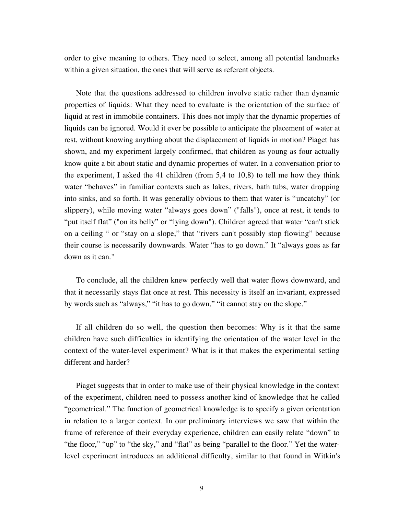order to give meaning to others. They need to select, among all potential landmarks within a given situation, the ones that will serve as referent objects.

Note that the questions addressed to children involve static rather than dynamic properties of liquids: What they need to evaluate is the orientation of the surface of liquid at rest in immobile containers. This does not imply that the dynamic properties of liquids can be ignored. Would it ever be possible to anticipate the placement of water at rest, without knowing anything about the displacement of liquids in motion? Piaget has shown, and my experiment largely confirmed, that children as young as four actually know quite a bit about static and dynamic properties of water. In a conversation prior to the experiment, I asked the 41 children (from 5,4 to 10,8) to tell me how they think water "behaves" in familiar contexts such as lakes, rivers, bath tubs, water dropping into sinks, and so forth. It was generally obvious to them that water is "uncatchy" (or slippery), while moving water "always goes down" ("falls"), once at rest, it tends to "put itself flat" ("on its belly" or "lying down"). Children agreed that water "can't stick on a ceiling " or "stay on a slope," that "rivers can't possibly stop flowing" because their course is necessarily downwards. Water "has to go down." It "always goes as far down as it can."

To conclude, all the children knew perfectly well that water flows downward, and that it necessarily stays flat once at rest. This necessity is itself an invariant, expressed by words such as "always," "it has to go down," "it cannot stay on the slope."

If all children do so well, the question then becomes: Why is it that the same children have such difficulties in identifying the orientation of the water level in the context of the water-level experiment? What is it that makes the experimental setting different and harder?

Piaget suggests that in order to make use of their physical knowledge in the context of the experiment, children need to possess another kind of knowledge that he called "geometrical." The function of geometrical knowledge is to specify a given orientation in relation to a larger context. In our preliminary interviews we saw that within the frame of reference of their everyday experience, children can easily relate "down" to "the floor," "up" to "the sky," and "flat" as being "parallel to the floor." Yet the waterlevel experiment introduces an additional difficulty, similar to that found in Witkin's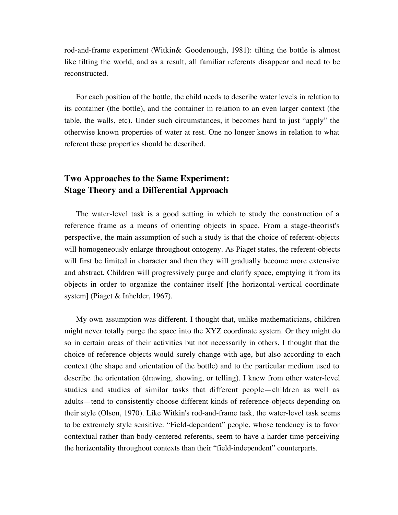rod-and-frame experiment (Witkin& Goodenough, 1981): tilting the bottle is almost like tilting the world, and as a result, all familiar referents disappear and need to be reconstructed.

For each position of the bottle, the child needs to describe water levels in relation to its container (the bottle), and the container in relation to an even larger context (the table, the walls, etc). Under such circumstances, it becomes hard to just "apply" the otherwise known properties of water at rest. One no longer knows in relation to what referent these properties should be described.

## **Two Approaches to the Same Experiment: Stage Theory and a Differential Approach**

The water-level task is a good setting in which to study the construction of a reference frame as a means of orienting objects in space. From a stage-theorist's perspective, the main assumption of such a study is that the choice of referent-objects will homogeneously enlarge throughout ontogeny. As Piaget states, the referent-objects will first be limited in character and then they will gradually become more extensive and abstract. Children will progressively purge and clarify space, emptying it from its objects in order to organize the container itself [the horizontal-vertical coordinate system] (Piaget & Inhelder, 1967).

My own assumption was different. I thought that, unlike mathematicians, children might never totally purge the space into the XYZ coordinate system. Or they might do so in certain areas of their activities but not necessarily in others. I thought that the choice of reference-objects would surely change with age, but also according to each context (the shape and orientation of the bottle) and to the particular medium used to describe the orientation (drawing, showing, or telling). I knew from other water-level studies and studies of similar tasks that different people—children as well as adults—tend to consistently choose different kinds of reference-objects depending on their style (Olson, 1970). Like Witkin's rod-and-frame task, the water-level task seems to be extremely style sensitive: "Field-dependent" people, whose tendency is to favor contextual rather than body-centered referents, seem to have a harder time perceiving the horizontality throughout contexts than their "field-independent" counterparts.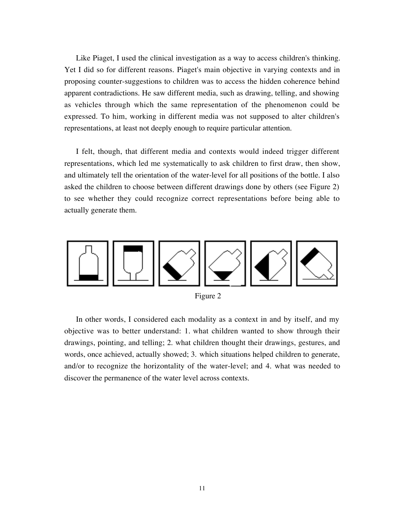Like Piaget, I used the clinical investigation as a way to access children's thinking. Yet I did so for different reasons. Piaget's main objective in varying contexts and in proposing counter-suggestions to children was to access the hidden coherence behind apparent contradictions. He saw different media, such as drawing, telling, and showing as vehicles through which the same representation of the phenomenon could be expressed. To him, working in different media was not supposed to alter children's representations, at least not deeply enough to require particular attention.

I felt, though, that different media and contexts would indeed trigger different representations, which led me systematically to ask children to first draw, then show, and ultimately tell the orientation of the water-level for all positions of the bottle. I also asked the children to choose between different drawings done by others (see Figure 2) to see whether they could recognize correct representations before being able to actually generate them.





In other words, I considered each modality as a context in and by itself, and my objective was to better understand: 1. what children wanted to show through their drawings, pointing, and telling; 2. what children thought their drawings, gestures, and words, once achieved, actually showed; 3. which situations helped children to generate, and/or to recognize the horizontality of the water-level; and 4. what was needed to discover the permanence of the water level across contexts.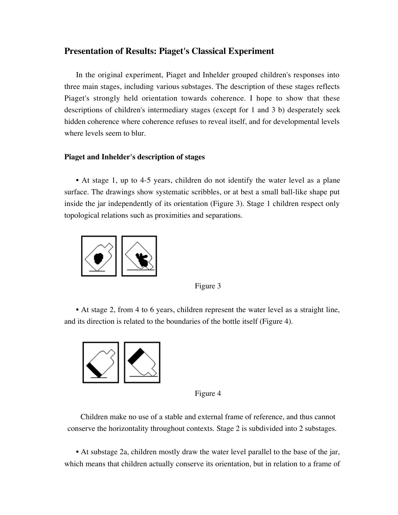### **Presentation of Results: Piaget's Classical Experiment**

In the original experiment, Piaget and Inhelder grouped children's responses into three main stages, including various substages. The description of these stages reflects Piaget's strongly held orientation towards coherence. I hope to show that these descriptions of children's intermediary stages (except for 1 and 3 b) desperately seek hidden coherence where coherence refuses to reveal itself, and for developmental levels where levels seem to blur.

#### **Piaget and Inhelder's description of stages**

• At stage 1, up to 4-5 years, children do not identify the water level as a plane surface. The drawings show systematic scribbles, or at best a small ball-like shape put inside the jar independently of its orientation (Figure 3). Stage 1 children respect only topological relations such as proximities and separations.



Figure 3

• At stage 2, from 4 to 6 years, children represent the water level as a straight line, and its direction is related to the boundaries of the bottle itself (Figure 4).



Figure 4

Children make no use of a stable and external frame of reference, and thus cannot conserve the horizontality throughout contexts. Stage 2 is subdivided into 2 substages.

• At substage 2a, children mostly draw the water level parallel to the base of the jar, which means that children actually conserve its orientation, but in relation to a frame of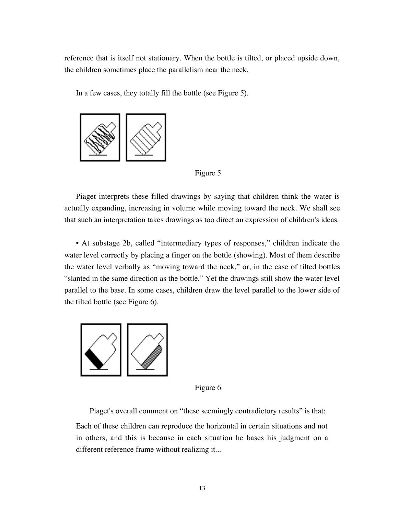reference that is itself not stationary. When the bottle is tilted, or placed upside down, the children sometimes place the parallelism near the neck.

In a few cases, they totally fill the bottle (see Figure 5).



Figure 5

Piaget interprets these filled drawings by saying that children think the water is actually expanding, increasing in volume while moving toward the neck. We shall see that such an interpretation takes drawings as too direct an expression of children's ideas.

• At substage 2b, called "intermediary types of responses," children indicate the water level correctly by placing a finger on the bottle (showing). Most of them describe the water level verbally as "moving toward the neck," or, in the case of tilted bottles "slanted in the same direction as the bottle." Yet the drawings still show the water level parallel to the base. In some cases, children draw the level parallel to the lower side of the tilted bottle (see Figure 6).



Figure 6

Piaget's overall comment on "these seemingly contradictory results" is that: Each of these children can reproduce the horizontal in certain situations and not in others, and this is because in each situation he bases his judgment on a different reference frame without realizing it...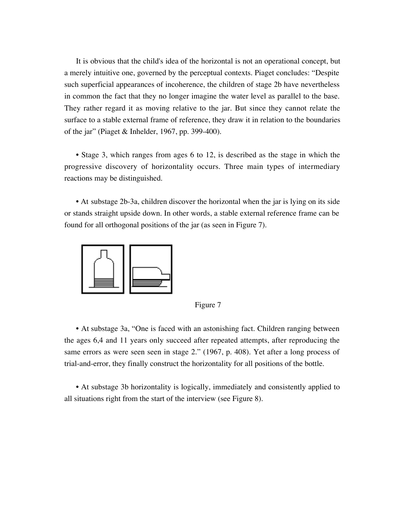It is obvious that the child's idea of the horizontal is not an operational concept, but a merely intuitive one, governed by the perceptual contexts. Piaget concludes: "Despite such superficial appearances of incoherence, the children of stage 2b have nevertheless in common the fact that they no longer imagine the water level as parallel to the base. They rather regard it as moving relative to the jar. But since they cannot relate the surface to a stable external frame of reference, they draw it in relation to the boundaries of the jar" (Piaget & Inhelder, 1967, pp. 399-400).

• Stage 3, which ranges from ages 6 to 12, is described as the stage in which the progressive discovery of horizontality occurs. Three main types of intermediary reactions may be distinguished.

• At substage 2b-3a, children discover the horizontal when the jar is lying on its side or stands straight upside down. In other words, a stable external reference frame can be found for all orthogonal positions of the jar (as seen in Figure 7).



Figure 7

• At substage 3a, "One is faced with an astonishing fact. Children ranging between the ages 6,4 and 11 years only succeed after repeated attempts, after reproducing the same errors as were seen seen in stage 2." (1967, p. 408). Yet after a long process of trial-and-error, they finally construct the horizontality for all positions of the bottle.

• At substage 3b horizontality is logically, immediately and consistently applied to all situations right from the start of the interview (see Figure 8).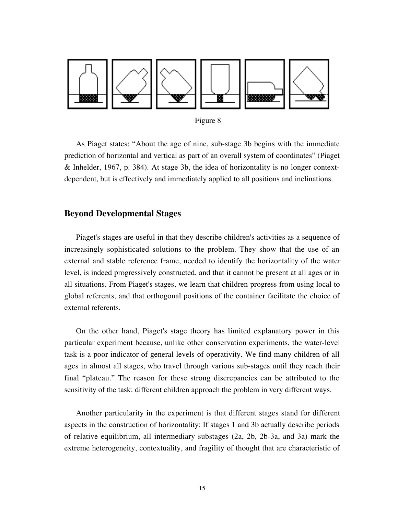



As Piaget states: "About the age of nine, sub-stage 3b begins with the immediate prediction of horizontal and vertical as part of an overall system of coordinates" (Piaget & Inhelder, 1967, p. 384). At stage 3b, the idea of horizontality is no longer contextdependent, but is effectively and immediately applied to all positions and inclinations.

#### **Beyond Developmental Stages**

Piaget's stages are useful in that they describe children's activities as a sequence of increasingly sophisticated solutions to the problem. They show that the use of an external and stable reference frame, needed to identify the horizontality of the water level, is indeed progressively constructed, and that it cannot be present at all ages or in all situations. From Piaget's stages, we learn that children progress from using local to global referents, and that orthogonal positions of the container facilitate the choice of external referents.

On the other hand, Piaget's stage theory has limited explanatory power in this particular experiment because, unlike other conservation experiments, the water-level task is a poor indicator of general levels of operativity. We find many children of all ages in almost all stages, who travel through various sub-stages until they reach their final "plateau." The reason for these strong discrepancies can be attributed to the sensitivity of the task: different children approach the problem in very different ways.

Another particularity in the experiment is that different stages stand for different aspects in the construction of horizontality: If stages 1 and 3b actually describe periods of relative equilibrium, all intermediary substages (2a, 2b, 2b-3a, and 3a) mark the extreme heterogeneity, contextuality, and fragility of thought that are characteristic of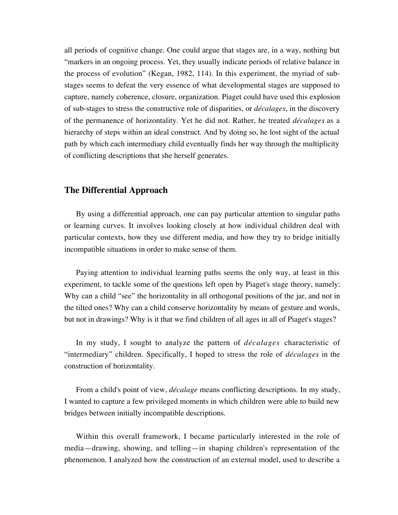all periods of cognitive change. One could argue that stages are, in a way, nothing but "markers in an ongoing process. Yet, they usually indicate periods of relative balance in the process of evolution" (Kegan, 1982, 114). In this experiment, the myriad of substages seems to defeat the very essence of what developmental stages are supposed to capture, namely coherence, closure, organization. Piaget could have used this explosion of sub-stages to stress the constructive role of disparities, or *décalages*, in the discovery of the permanence of horizontality. Yet he did not. Rather, he treated *décalages* as a hierarchy of steps within an ideal construct. And by doing so, he lost sight of the actual path by which each intermediary child eventually finds her way through the multiplicity of conflicting descriptions that she herself generates.

### **The Differential Approach**

By using a differential approach, one can pay particular attention to singular paths or learning curves. It involves looking closely at how individual children deal with particular contexts, how they use different media, and how they try to bridge initially incompatible situations in order to make sense of them.

Paying attention to individual learning paths seems the only way, at least in this experiment, to tackle some of the questions left open by Piaget's stage theory, namely: Why can a child "see" the horizontality in all orthogonal positions of the jar, and not in the tilted ones? Why can a child conserve horizontality by means of gesture and words, but not in drawings? Why is it that we find children of all ages in all of Piaget's stages?

In my study, I sought to analyze the pattern of *décalages* characteristic of "intermediary" children. Specifically, I hoped to stress the role of *décalages* in the construction of horizontality.

From a child's point of view, *décalage* means conflicting descriptions. In my study, I wanted to capture a few privileged moments in which children were able to build new bridges between initially incompatible descriptions.

Within this overall framework, I became particularly interested in the role of media—drawing, showing, and telling—in shaping children's representation of the phenomenon. I analyzed how the construction of an external model, used to describe a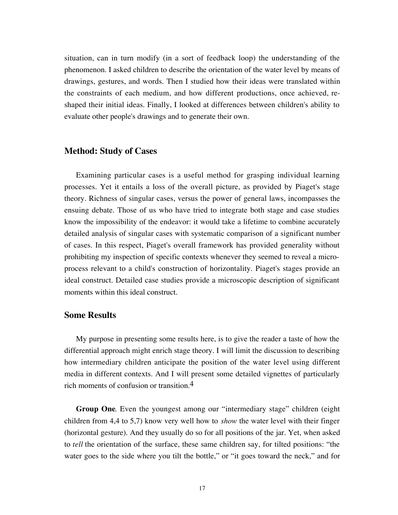situation, can in turn modify (in a sort of feedback loop) the understanding of the phenomenon. I asked children to describe the orientation of the water level by means of drawings, gestures, and words. Then I studied how their ideas were translated within the constraints of each medium, and how different productions, once achieved, reshaped their initial ideas. Finally, I looked at differences between children's ability to evaluate other people's drawings and to generate their own.

#### **Method: Study of Cases**

Examining particular cases is a useful method for grasping individual learning processes. Yet it entails a loss of the overall picture, as provided by Piaget's stage theory. Richness of singular cases, versus the power of general laws, incompasses the ensuing debate. Those of us who have tried to integrate both stage and case studies know the impossibility of the endeavor: it would take a lifetime to combine accurately detailed analysis of singular cases with systematic comparison of a significant number of cases. In this respect, Piaget's overall framework has provided generality without prohibiting my inspection of specific contexts whenever they seemed to reveal a microprocess relevant to a child's construction of horizontality. Piaget's stages provide an ideal construct. Detailed case studies provide a microscopic description of significant moments within this ideal construct.

## **Some Results**

My purpose in presenting some results here, is to give the reader a taste of how the differential approach might enrich stage theory. I will limit the discussion to describing how intermediary children anticipate the position of the water level using different media in different contexts. And I will present some detailed vignettes of particularly rich moments of confusion or transition.4

**Group One**. Even the youngest among our "intermediary stage" children (eight children from 4,4 to 5,7) know very well how to *show* the water level with their finger (horizontal gesture). And they usually do so for all positions of the jar. Yet, when asked to *tell* the orientation of the surface, these same children say, for tilted positions: "the water goes to the side where you tilt the bottle," or "it goes toward the neck," and for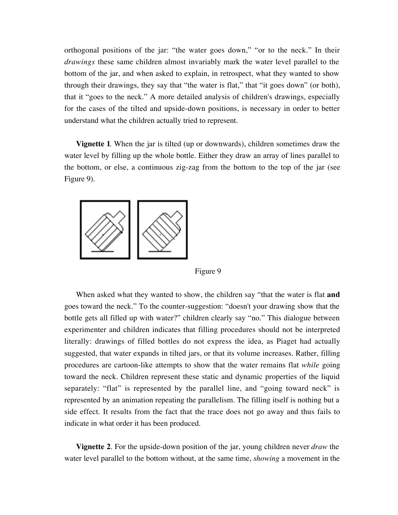orthogonal positions of the jar: "the water goes down," "or to the neck." In their *drawings* these same children almost invariably mark the water level parallel to the bottom of the jar, and when asked to explain, in retrospect, what they wanted to show through their drawings, they say that "the water is flat," that "it goes down" (or both), that it "goes to the neck." A more detailed analysis of children's drawings, especially for the cases of the tilted and upside-down positions, is necessary in order to better understand what the children actually tried to represent.

**Vignette 1**. When the jar is tilted (up or downwards), children sometimes draw the water level by filling up the whole bottle. Either they draw an array of lines parallel to the bottom, or else, a continuous zig-zag from the bottom to the top of the jar (see Figure 9).



Figure 9

When asked what they wanted to show, the children say "that the water is flat **and** goes toward the neck." To the counter-suggestion: "doesn't your drawing show that the bottle gets all filled up with water?" children clearly say "no." This dialogue between experimenter and children indicates that filling procedures should not be interpreted literally: drawings of filled bottles do not express the idea, as Piaget had actually suggested, that water expands in tilted jars, or that its volume increases. Rather, filling procedures are cartoon-like attempts to show that the water remains flat *while* going toward the neck. Children represent these static and dynamic properties of the liquid separately: "flat" is represented by the parallel line, and "going toward neck" is represented by an animation repeating the parallelism. The filling itself is nothing but a side effect. It results from the fact that the trace does not go away and thus fails to indicate in what order it has been produced.

**Vignette 2**. For the upside-down position of the jar, young children never *draw* the water level parallel to the bottom without, at the same time, *showing* a movement in the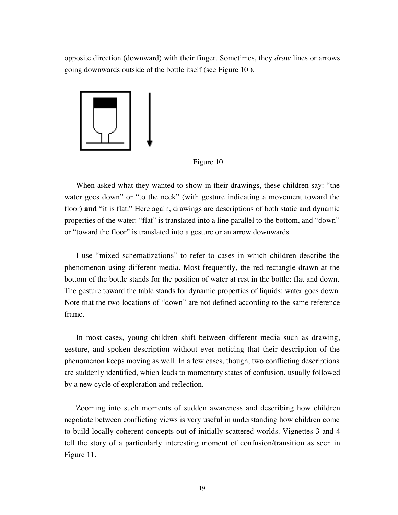opposite direction (downward) with their finger. Sometimes, they *draw* lines or arrows going downwards outside of the bottle itself (see Figure 10 ).



Figure 10

When asked what they wanted to show in their drawings, these children say: "the water goes down" or "to the neck" (with gesture indicating a movement toward the floor) **and** "it is flat." Here again, drawings are descriptions of both static and dynamic properties of the water: "flat" is translated into a line parallel to the bottom, and "down" or "toward the floor" is translated into a gesture or an arrow downwards.

I use "mixed schematizations" to refer to cases in which children describe the phenomenon using different media. Most frequently, the red rectangle drawn at the bottom of the bottle stands for the position of water at rest in the bottle: flat and down. The gesture toward the table stands for dynamic properties of liquids: water goes down. Note that the two locations of "down" are not defined according to the same reference frame.

In most cases, young children shift between different media such as drawing, gesture, and spoken description without ever noticing that their description of the phenomenon keeps moving as well. In a few cases, though, two conflicting descriptions are suddenly identified, which leads to momentary states of confusion, usually followed by a new cycle of exploration and reflection.

Zooming into such moments of sudden awareness and describing how children negotiate between conflicting views is very useful in understanding how children come to build locally coherent concepts out of initially scattered worlds. Vignettes 3 and 4 tell the story of a particularly interesting moment of confusion/transition as seen in Figure 11.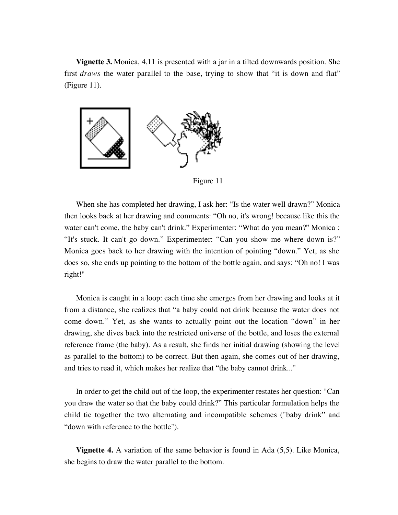**Vignette 3.** Monica, 4,11 is presented with a jar in a tilted downwards position. She first *draws* the water parallel to the base, trying to show that "it is down and flat" (Figure 11).



Figure 11

When she has completed her drawing, I ask her: "Is the water well drawn?" Monica then looks back at her drawing and comments: "Oh no, it's wrong! because like this the water can't come, the baby can't drink." Experimenter: "What do you mean?" Monica : "It's stuck. It can't go down." Experimenter: "Can you show me where down is?" Monica goes back to her drawing with the intention of pointing "down." Yet, as she does so, she ends up pointing to the bottom of the bottle again, and says: "Oh no! I was right!"

Monica is caught in a loop: each time she emerges from her drawing and looks at it from a distance, she realizes that "a baby could not drink because the water does not come down." Yet, as she wants to actually point out the location "down" in her drawing, she dives back into the restricted universe of the bottle, and loses the external reference frame (the baby). As a result, she finds her initial drawing (showing the level as parallel to the bottom) to be correct. But then again, she comes out of her drawing, and tries to read it, which makes her realize that "the baby cannot drink..."

In order to get the child out of the loop, the experimenter restates her question: "Can you draw the water so that the baby could drink?" This particular formulation helps the child tie together the two alternating and incompatible schemes ("baby drink" and "down with reference to the bottle").

**Vignette 4.** A variation of the same behavior is found in Ada (5,5). Like Monica, she begins to draw the water parallel to the bottom.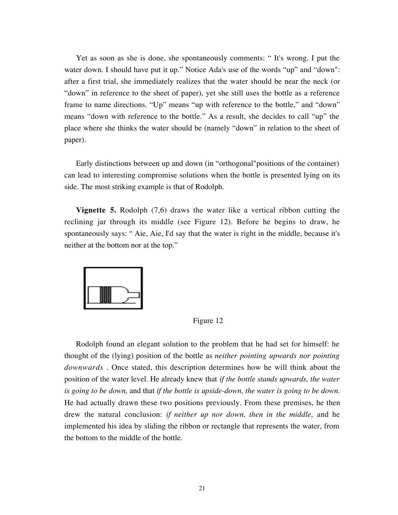Yet as soon as she is done, she spontaneously comments: " It's wrong. I put the water down. I should have put it up." Notice Ada's use of the words "up" and "down": after a first trial, she immediately realizes that the water should be near the neck (or "down" in reference to the sheet of paper), yet she still uses the bottle as a reference frame to name directions. "Up" means "up with reference to the bottle," and "down" means "down with reference to the bottle." As a result, she decides to call "up" the place where she thinks the water should be (namely "down" in relation to the sheet of paper).

Early distinctions between up and down (in "orthogonal"positions of the container) can lead to interesting compromise solutions when the bottle is presented lying on its side. The most striking example is that of Rodolph.

**Vignette 5.** Rodolph (7,6) draws the water like a vertical ribbon cutting the reclining jar through its middle (see Figure 12). Before he begins to draw, he spontaneously says: " Aie, Aie, I'd say that the water is right in the middle, because it's neither at the bottom nor at the top."



Figure 12

Rodolph found an elegant solution to the problem that he had set for himself: he thought of the (lying) position of the bottle as *neither pointing upwards nor pointing downwards* . Once stated, this description determines how he will think about the position of the water level. He already knew that *if the bottle stands upwards, the water is going to be down,* and that *if the bottle is upside-down, the water is going to be down.* He had actually drawn these two positions previously. From these premises, he then drew the natural conclusion: *if neither up nor down, then in the middle,* and he implemented his idea by sliding the ribbon or rectangle that represents the water, from the bottom to the middle of the bottle.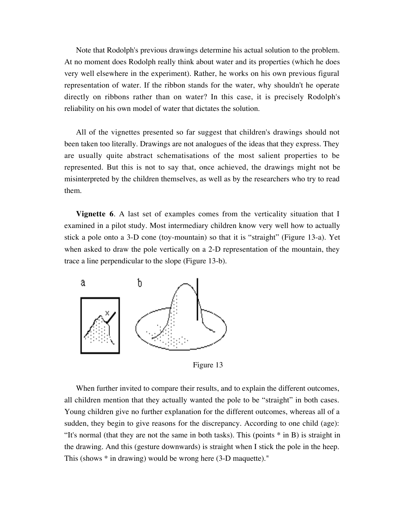Note that Rodolph's previous drawings determine his actual solution to the problem. At no moment does Rodolph really think about water and its properties (which he does very well elsewhere in the experiment). Rather, he works on his own previous figural representation of water. If the ribbon stands for the water, why shouldn't he operate directly on ribbons rather than on water? In this case, it is precisely Rodolph's reliability on his own model of water that dictates the solution.

All of the vignettes presented so far suggest that children's drawings should not been taken too literally. Drawings are not analogues of the ideas that they express. They are usually quite abstract schematisations of the most salient properties to be represented. But this is not to say that, once achieved, the drawings might not be misinterpreted by the children themselves, as well as by the researchers who try to read them.

**Vignette 6**. A last set of examples comes from the verticality situation that I examined in a pilot study. Most intermediary children know very well how to actually stick a pole onto a 3-D cone (toy-mountain) so that it is "straight" (Figure 13-a). Yet when asked to draw the pole vertically on a 2-D representation of the mountain, they trace a line perpendicular to the slope (Figure 13-b).



Figure 13

When further invited to compare their results, and to explain the different outcomes, all children mention that they actually wanted the pole to be "straight" in both cases. Young children give no further explanation for the different outcomes, whereas all of a sudden, they begin to give reasons for the discrepancy. According to one child (age): "It's normal (that they are not the same in both tasks). This (points  $*$  in B) is straight in the drawing. And this (gesture downwards) is straight when I stick the pole in the heep. This (shows \* in drawing) would be wrong here (3-D maquette)."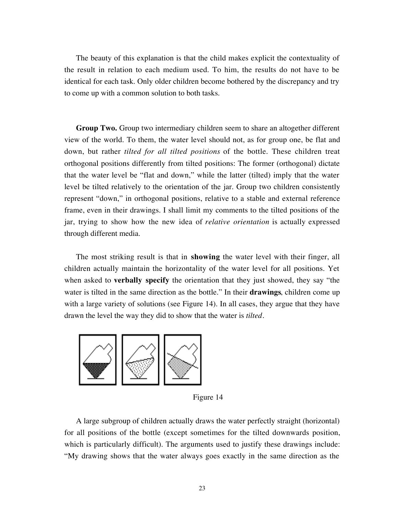The beauty of this explanation is that the child makes explicit the contextuality of the result in relation to each medium used. To him, the results do not have to be identical for each task. Only older children become bothered by the discrepancy and try to come up with a common solution to both tasks.

**Group Two.** Group two intermediary children seem to share an altogether different view of the world. To them, the water level should not, as for group one, be flat and down, but rather *tilted for all tilted positions* of the bottle. These children treat orthogonal positions differently from tilted positions: The former (orthogonal) dictate that the water level be "flat and down," while the latter (tilted) imply that the water level be tilted relatively to the orientation of the jar. Group two children consistently represent "down," in orthogonal positions, relative to a stable and external reference frame, even in their drawings. I shall limit my comments to the tilted positions of the jar, trying to show how the new idea of *relative orientation* is actually expressed through different media.

The most striking result is that in **showing** the water level with their finger, all children actually maintain the horizontality of the water level for all positions. Yet when asked to **verbally specify** the orientation that they just showed, they say "the water is tilted in the same direction as the bottle." In their **drawings**, children come up with a large variety of solutions (see Figure 14). In all cases, they argue that they have drawn the level the way they did to show that the water is *tilted*.



Figure 14

A large subgroup of children actually draws the water perfectly straight (horizontal) for all positions of the bottle (except sometimes for the tilted downwards position, which is particularly difficult). The arguments used to justify these drawings include: "My drawing shows that the water always goes exactly in the same direction as the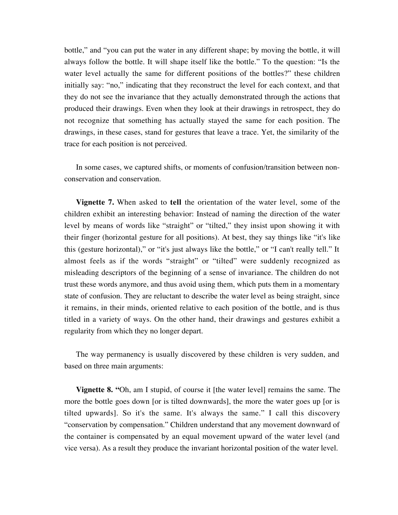bottle," and "you can put the water in any different shape; by moving the bottle, it will always follow the bottle. It will shape itself like the bottle." To the question: "Is the water level actually the same for different positions of the bottles?" these children initially say: "no," indicating that they reconstruct the level for each context, and that they do not see the invariance that they actually demonstrated through the actions that produced their drawings. Even when they look at their drawings in retrospect, they do not recognize that something has actually stayed the same for each position. The drawings, in these cases, stand for gestures that leave a trace. Yet, the similarity of the trace for each position is not perceived.

In some cases, we captured shifts, or moments of confusion/transition between nonconservation and conservation.

**Vignette 7.** When asked to **tell** the orientation of the water level, some of the children exhibit an interesting behavior: Instead of naming the direction of the water level by means of words like "straight" or "tilted," they insist upon showing it with their finger (horizontal gesture for all positions). At best, they say things like "it's like this (gesture horizontal)," or "it's just always like the bottle," or "I can't really tell." It almost feels as if the words "straight" or "tilted" were suddenly recognized as misleading descriptors of the beginning of a sense of invariance. The children do not trust these words anymore, and thus avoid using them, which puts them in a momentary state of confusion. They are reluctant to describe the water level as being straight, since it remains, in their minds, oriented relative to each position of the bottle, and is thus titled in a variety of ways. On the other hand, their drawings and gestures exhibit a regularity from which they no longer depart.

The way permanency is usually discovered by these children is very sudden, and based on three main arguments:

**Vignette 8. "**Oh, am I stupid, of course it [the water level] remains the same. The more the bottle goes down [or is tilted downwards], the more the water goes up [or is tilted upwards]. So it's the same. It's always the same." I call this discovery "conservation by compensation." Children understand that any movement downward of the container is compensated by an equal movement upward of the water level (and vice versa). As a result they produce the invariant horizontal position of the water level.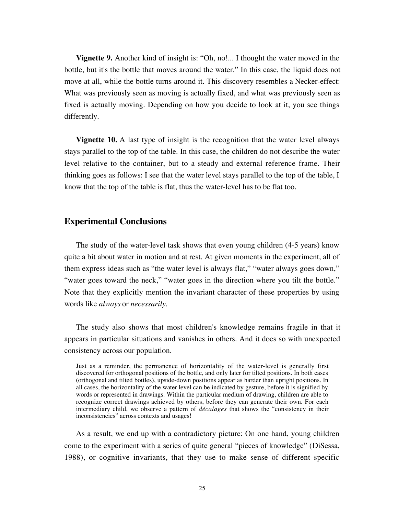**Vignette 9.** Another kind of insight is: "Oh, no!... I thought the water moved in the bottle, but it's the bottle that moves around the water." In this case, the liquid does not move at all, while the bottle turns around it. This discovery resembles a Necker-effect: What was previously seen as moving is actually fixed, and what was previously seen as fixed is actually moving. Depending on how you decide to look at it, you see things differently.

**Vignette 10.** A last type of insight is the recognition that the water level always stays parallel to the top of the table. In this case, the children do not describe the water level relative to the container, but to a steady and external reference frame. Their thinking goes as follows: I see that the water level stays parallel to the top of the table, I know that the top of the table is flat, thus the water-level has to be flat too.

#### **Experimental Conclusions**

The study of the water-level task shows that even young children (4-5 years) know quite a bit about water in motion and at rest. At given moments in the experiment, all of them express ideas such as "the water level is always flat," "water always goes down," "water goes toward the neck," "water goes in the direction where you tilt the bottle." Note that they explicitly mention the invariant character of these properties by using words like *always* or *necessarily*.

The study also shows that most children's knowledge remains fragile in that it appears in particular situations and vanishes in others. And it does so with unexpected consistency across our population.

Just as a reminder, the permanence of horizontality of the water-level is generally first discovered for orthogonal positions of the bottle, and only later for tilted positions. In both cases (orthogonal and tilted bottles), upside-down positions appear as harder than upright positions. In all cases, the horizontality of the water level can be indicated by gesture, before it is signified by words or represented in drawings. Within the particular medium of drawing, children are able to recognize correct drawings achieved by others, before they can generate their own. For each intermediary child, we observe a pattern of *décalages* that shows the "consistency in their inconsistencies" across contexts and usages!

As a result, we end up with a contradictory picture: On one hand, young children come to the experiment with a series of quite general "pieces of knowledge" (DiSessa, 1988), or cognitive invariants, that they use to make sense of different specific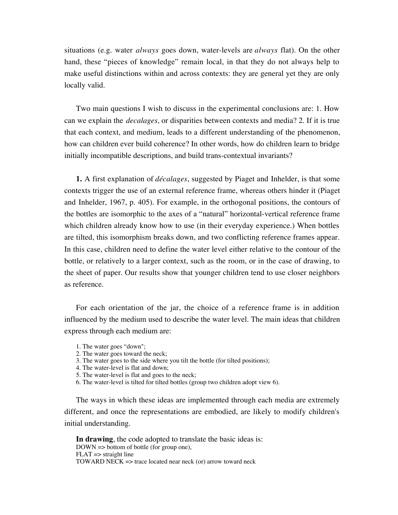situations (e.g. water *always* goes down, water-levels are *always* flat). On the other hand, these "pieces of knowledge" remain local, in that they do not always help to make useful distinctions within and across contexts: they are general yet they are only locally valid.

Two main questions I wish to discuss in the experimental conclusions are: 1. How can we explain the *decalages*, or disparities between contexts and media? 2. If it is true that each context, and medium, leads to a different understanding of the phenomenon, how can children ever build coherence? In other words, how do children learn to bridge initially incompatible descriptions, and build trans-contextual invariants?

**1.** A first explanation of *décalages*, suggested by Piaget and Inhelder, is that some contexts trigger the use of an external reference frame, whereas others hinder it (Piaget and Inhelder, 1967, p. 405). For example, in the orthogonal positions, the contours of the bottles are isomorphic to the axes of a "natural" horizontal-vertical reference frame which children already know how to use (in their everyday experience.) When bottles are tilted, this isomorphism breaks down, and two conflicting reference frames appear. In this case, children need to define the water level either relative to the contour of the bottle, or relatively to a larger context, such as the room, or in the case of drawing, to the sheet of paper. Our results show that younger children tend to use closer neighbors as reference.

For each orientation of the jar, the choice of a reference frame is in addition influenced by the medium used to describe the water level. The main ideas that children express through each medium are:

- 1. The water goes "down";
- 2. The water goes toward the neck;
- 3. The water goes to the side where you tilt the bottle (for tilted positions);
- 4. The water-level is flat and down;
- 5. The water-level is flat and goes to the neck;
- 6. The water-level is tilted for tilted bottles (group two children adopt view 6).

The ways in which these ideas are implemented through each media are extremely different, and once the representations are embodied, are likely to modify children's initial understanding.

**In drawing**, the code adopted to translate the basic ideas is:  $DOWN$  => bottom of bottle (for group one),  $FLAT \implies$  straight line TOWARD NECK => trace located near neck (or) arrow toward neck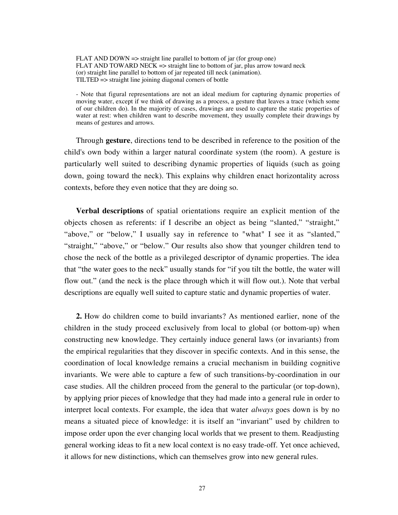FLAT AND DOWN  $\Rightarrow$  straight line parallel to bottom of jar (for group one) FLAT AND TOWARD NECK  $\Rightarrow$  straight line to bottom of jar, plus arrow toward neck (or) straight line parallel to bottom of jar repeated till neck (animation). TILTED => straight line joining diagonal corners of bottle

- Note that figural representations are not an ideal medium for capturing dynamic properties of moving water, except if we think of drawing as a process, a gesture that leaves a trace (which some of our children do). In the majority of cases, drawings are used to capture the static properties of water at rest: when children want to describe movement, they usually complete their drawings by means of gestures and arrows.

Through **gesture**, directions tend to be described in reference to the position of the child's own body within a larger natural coordinate system (the room). A gesture is particularly well suited to describing dynamic properties of liquids (such as going down, going toward the neck). This explains why children enact horizontality across contexts, before they even notice that they are doing so.

**Verbal descriptions** of spatial orientations require an explicit mention of the objects chosen as referents: if I describe an object as being "slanted," "straight," "above," or "below," I usually say in reference to "what" I see it as "slanted," "straight," "above," or "below." Our results also show that younger children tend to chose the neck of the bottle as a privileged descriptor of dynamic properties. The idea that "the water goes to the neck" usually stands for "if you tilt the bottle, the water will flow out." (and the neck is the place through which it will flow out.). Note that verbal descriptions are equally well suited to capture static and dynamic properties of water.

**2.** How do children come to build invariants? As mentioned earlier, none of the children in the study proceed exclusively from local to global (or bottom-up) when constructing new knowledge. They certainly induce general laws (or invariants) from the empirical regularities that they discover in specific contexts. And in this sense, the coordination of local knowledge remains a crucial mechanism in building cognitive invariants. We were able to capture a few of such transitions-by-coordination in our case studies. All the children proceed from the general to the particular (or top-down), by applying prior pieces of knowledge that they had made into a general rule in order to interpret local contexts. For example, the idea that water *always* goes down is by no means a situated piece of knowledge: it is itself an "invariant" used by children to impose order upon the ever changing local worlds that we present to them. Readjusting general working ideas to fit a new local context is no easy trade-off. Yet once achieved, it allows for new distinctions, which can themselves grow into new general rules.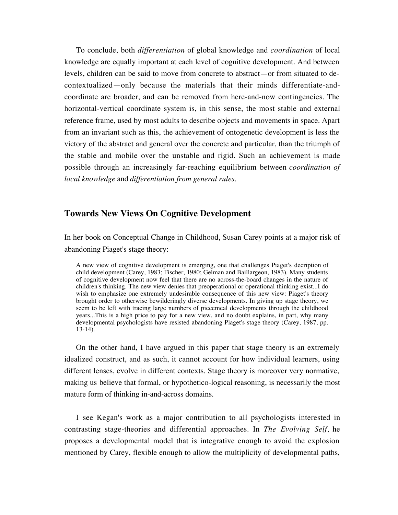To conclude, both *differentiation* of global knowledge and *coordination* of local knowledge are equally important at each level of cognitive development. And between levels, children can be said to move from concrete to abstract—or from situated to decontextualized—only because the materials that their minds differentiate-andcoordinate are broader, and can be removed from here-and-now contingencies. The horizontal-vertical coordinate system is, in this sense, the most stable and external reference frame, used by most adults to describe objects and movements in space. Apart from an invariant such as this, the achievement of ontogenetic development is less the victory of the abstract and general over the concrete and particular, than the triumph of the stable and mobile over the unstable and rigid. Such an achievement is made possible through an increasingly far-reaching equilibrium between *coordination of local knowledge* and *differentiation from general rules*.

### **Towards New Views On Cognitive Development**

In her book on Conceptual Change in Childhood, Susan Carey points at a major risk of abandoning Piaget's stage theory:

A new view of cognitive development is emerging, one that challenges Piaget's decription of child development (Carey, 1983; Fischer, 1980; Gelman and Baillargeon, 1983). Many students of cognitive development now feel that there are no across-the-board changes in the nature of children's thinking. The new view denies that preoperational or operational thinking exist...I do wish to emphasize one extremely undesirable consequence of this new view: Piaget's theory brought order to otherwise bewilderingly diverse developments. In giving up stage theory, we seem to be left with tracing large numbers of piecemeal developments through the childhood years...This is a high price to pay for a new view, and no doubt explains, in part, why many developmental psychologists have resisted abandoning Piaget's stage theory (Carey, 1987, pp. 13-14).

On the other hand, I have argued in this paper that stage theory is an extremely idealized construct, and as such, it cannot account for how individual learners, using different lenses, evolve in different contexts. Stage theory is moreover very normative, making us believe that formal, or hypothetico-logical reasoning, is necessarily the most mature form of thinking in-and-across domains.

I see Kegan's work as a major contribution to all psychologists interested in contrasting stage-theories and differential approaches. In *The Evolving Self*, he proposes a developmental model that is integrative enough to avoid the explosion mentioned by Carey, flexible enough to allow the multiplicity of developmental paths,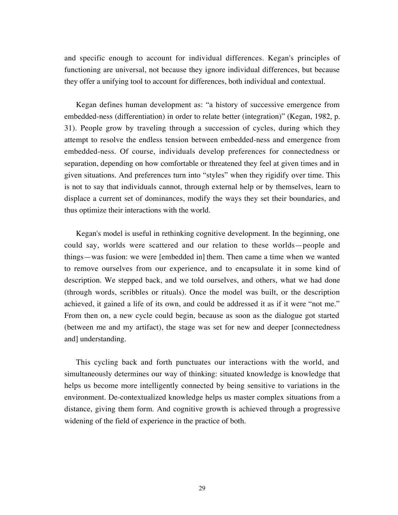and specific enough to account for individual differences. Kegan's principles of functioning are universal, not because they ignore individual differences, but because they offer a unifying tool to account for differences, both individual and contextual.

Kegan defines human development as: "a history of successive emergence from embedded-ness (differentiation) in order to relate better (integration)" (Kegan, 1982, p. 31). People grow by traveling through a succession of cycles, during which they attempt to resolve the endless tension between embedded-ness and emergence from embedded-ness. Of course, individuals develop preferences for connectedness or separation, depending on how comfortable or threatened they feel at given times and in given situations. And preferences turn into "styles" when they rigidify over time. This is not to say that individuals cannot, through external help or by themselves, learn to displace a current set of dominances, modify the ways they set their boundaries, and thus optimize their interactions with the world.

Kegan's model is useful in rethinking cognitive development. In the beginning, one could say, worlds were scattered and our relation to these worlds—people and things—was fusion: we were [embedded in] them. Then came a time when we wanted to remove ourselves from our experience, and to encapsulate it in some kind of description. We stepped back, and we told ourselves, and others, what we had done (through words, scribbles or rituals). Once the model was built, or the description achieved, it gained a life of its own, and could be addressed it as if it were "not me." From then on, a new cycle could begin, because as soon as the dialogue got started (between me and my artifact), the stage was set for new and deeper [connectedness and] understanding.

This cycling back and forth punctuates our interactions with the world, and simultaneously determines our way of thinking: situated knowledge is knowledge that helps us become more intelligently connected by being sensitive to variations in the environment. De-contextualized knowledge helps us master complex situations from a distance, giving them form. And cognitive growth is achieved through a progressive widening of the field of experience in the practice of both.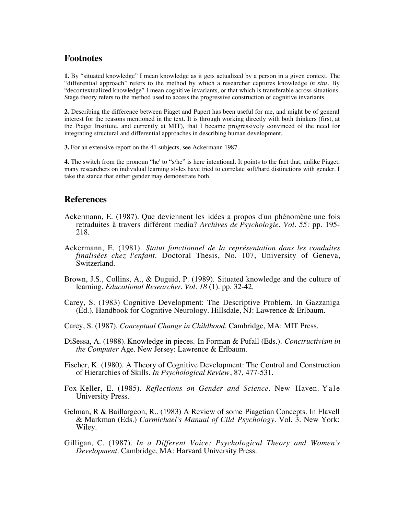## **Footnotes**

**1.** By "situated knowledge" I mean knowledge as it gets actualized by a person in a given context. The "differential approach" refers to the method by which a researcher captures knowledge *in situ*. By "decontextualized knowledge" I mean cognitive invariants, or that which is transferable across situations. Stage theory refers to the method used to access the progressive construction of cognitive invariants.

**2.** Describing the difference between Piaget and Papert has been useful for me, and might be of general interest for the reasons mentioned in the text. It is through working directly with both thinkers (first, at the Piaget Institute, and currently at MIT), that I became progressively convinced of the need for integrating structural and differential approaches in describing human development.

**3.** For an extensive report on the 41 subjects, see Ackermann 1987.

**4.** The switch from the pronoun "he' to "s/he" is here intentional. It points to the fact that, unlike Piaget, many researchers on individual learning styles have tried to correlate soft/hard distinctions with gender. I take the stance that either gender may demonstrate both.

## **References**

- Ackermann, E. (1987). Que deviennent les idées a propos d'un phénomène une fois retraduites à travers différent media? *Archives de Psychologie. Vol. 55:* pp. 195- 218.
- Ackermann, E. (1981). *Statut fonctionnel de la représentation dans les conduites finalisées chez l'enfant.* Doctoral Thesis, No. 107, University of Geneva, Switzerland.
- Brown, J.S., Collins, A., & Duguid, P. (1989). Situated knowledge and the culture of learning. *Educational Researcher*. *Vol. 18* (1). pp. 32-42.
- Carey, S. (1983) Cognitive Development: The Descriptive Problem. In Gazzaniga (Ed.). Handbook for Cognitive Neurology. Hillsdale, NJ: Lawrence & Erlbaum.
- Carey, S. (1987). *Conceptual Change in Childhood.* Cambridge, MA: MIT Press.
- DiSessa, A. (1988). Knowledge in pieces. In Forman & Pufall (Eds.). *Conctructivism in the Computer* Age. New Jersey: Lawrence & Erlbaum.
- Fischer, K. (1980). A Theory of Cognitive Development: The Control and Construction of Hierarchies of Skills. *In Psychological Review*, 87, 477-531.
- Fox-Keller, E. (1985). *Reflections on Gender and Science.* New Haven. Yale University Press.
- Gelman, R & Baillargeon, R.. (1983) A Review of some Piagetian Concepts. In Flavell & Markman (Eds.) *Carmichael's Manual of Cild Psychology.* Vol. 3. New York: Wiley.
- Gilligan, C. (1987). *In a Different Voice: Psychological Theory and Women's Development.* Cambridge, MA: Harvard University Press.